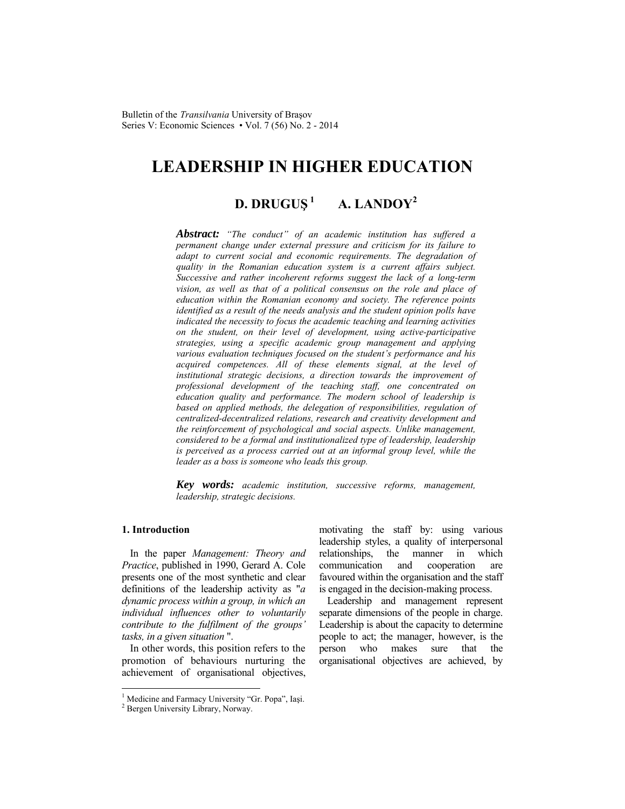# **LEADERSHIP IN HIGHER EDUCATION**

## **D. DRUGUS**<sup>1</sup> **A. LANDOY**<sup>2</sup>

*Abstract: "The conduct" of an academic institution has suffered a permanent change under external pressure and criticism for its failure to adapt to current social and economic requirements. The degradation of quality in the Romanian education system is a current affairs subject. Successive and rather incoherent reforms suggest the lack of a long-term vision, as well as that of a political consensus on the role and place of education within the Romanian economy and society. The reference points identified as a result of the needs analysis and the student opinion polls have indicated the necessity to focus the academic teaching and learning activities on the student, on their level of development, using active-participative strategies, using a specific academic group management and applying various evaluation techniques focused on the student's performance and his acquired competences. All of these elements signal, at the level of institutional strategic decisions, a direction towards the improvement of professional development of the teaching staff, one concentrated on education quality and performance. The modern school of leadership is based on applied methods, the delegation of responsibilities, regulation of centralized-decentralized relations, research and creativity development and the reinforcement of psychological and social aspects. Unlike management, considered to be a formal and institutionalized type of leadership, leadership is perceived as a process carried out at an informal group level, while the leader as a boss is someone who leads this group.* 

*Key words: academic institution, successive reforms, management, leadership, strategic decisions.*

## **1. Introduction**

l

In the paper *Management: Theory and Practice*, published in 1990, Gerard A. Cole presents one of the most synthetic and clear definitions of the leadership activity as "*a dynamic process within a group, in which an individual influences other to voluntarily contribute to the fulfilment of the groups' tasks, in a given situation* ".

In other words, this position refers to the promotion of behaviours nurturing the achievement of organisational objectives,

<sup>1</sup> Medicine and Farmacy University "Gr. Popa", Iași.<br><sup>2</sup> Person University Library Norway.

motivating the staff by: using various leadership styles, a quality of interpersonal relationships, the manner in which communication and cooperation are favoured within the organisation and the staff is engaged in the decision-making process.

Leadership and management represent separate dimensions of the people in charge. Leadership is about the capacity to determine people to act; the manager, however, is the person who makes sure that the organisational objectives are achieved, by

<sup>&</sup>lt;sup>2</sup> Bergen University Library, Norway.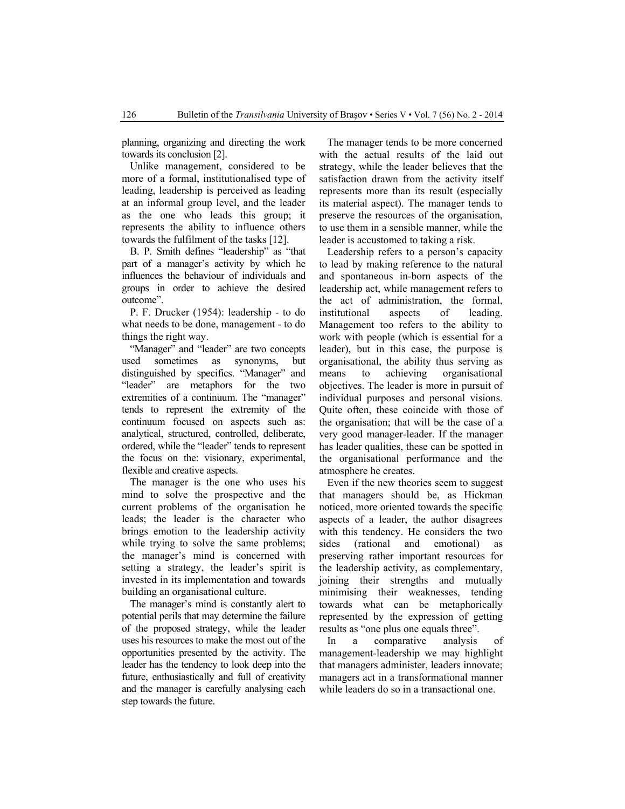planning, organizing and directing the work towards its conclusion [2].

Unlike management, considered to be more of a formal, institutionalised type of leading, leadership is perceived as leading at an informal group level, and the leader as the one who leads this group; it represents the ability to influence others towards the fulfilment of the tasks [12].

B. P. Smith defines "leadership" as "that part of a manager's activity by which he influences the behaviour of individuals and groups in order to achieve the desired outcome".

P. F. Drucker (1954): leadership - to do what needs to be done, management - to do things the right way.

"Manager" and "leader" are two concepts used sometimes as synonyms, but distinguished by specifics. "Manager" and "leader" are metaphors for the two extremities of a continuum. The "manager" tends to represent the extremity of the continuum focused on aspects such as: analytical, structured, controlled, deliberate, ordered, while the "leader" tends to represent the focus on the: visionary, experimental, flexible and creative aspects.

The manager is the one who uses his mind to solve the prospective and the current problems of the organisation he leads; the leader is the character who brings emotion to the leadership activity while trying to solve the same problems; the manager's mind is concerned with setting a strategy, the leader's spirit is invested in its implementation and towards building an organisational culture.

The manager's mind is constantly alert to potential perils that may determine the failure of the proposed strategy, while the leader uses his resources to make the most out of the opportunities presented by the activity. The leader has the tendency to look deep into the future, enthusiastically and full of creativity and the manager is carefully analysing each step towards the future.

The manager tends to be more concerned with the actual results of the laid out strategy, while the leader believes that the satisfaction drawn from the activity itself represents more than its result (especially its material aspect). The manager tends to preserve the resources of the organisation, to use them in a sensible manner, while the leader is accustomed to taking a risk.

Leadership refers to a person's capacity to lead by making reference to the natural and spontaneous in-born aspects of the leadership act, while management refers to the act of administration, the formal, institutional aspects of leading. Management too refers to the ability to work with people (which is essential for a leader), but in this case, the purpose is organisational, the ability thus serving as means to achieving organisational objectives. The leader is more in pursuit of individual purposes and personal visions. Quite often, these coincide with those of the organisation; that will be the case of a very good manager-leader. If the manager has leader qualities, these can be spotted in the organisational performance and the atmosphere he creates.

Even if the new theories seem to suggest that managers should be, as Hickman noticed, more oriented towards the specific aspects of a leader, the author disagrees with this tendency. He considers the two sides (rational and emotional) as preserving rather important resources for the leadership activity, as complementary, joining their strengths and mutually minimising their weaknesses, tending towards what can be metaphorically represented by the expression of getting results as "one plus one equals three".

In a comparative analysis of management-leadership we may highlight that managers administer, leaders innovate; managers act in a transformational manner while leaders do so in a transactional one.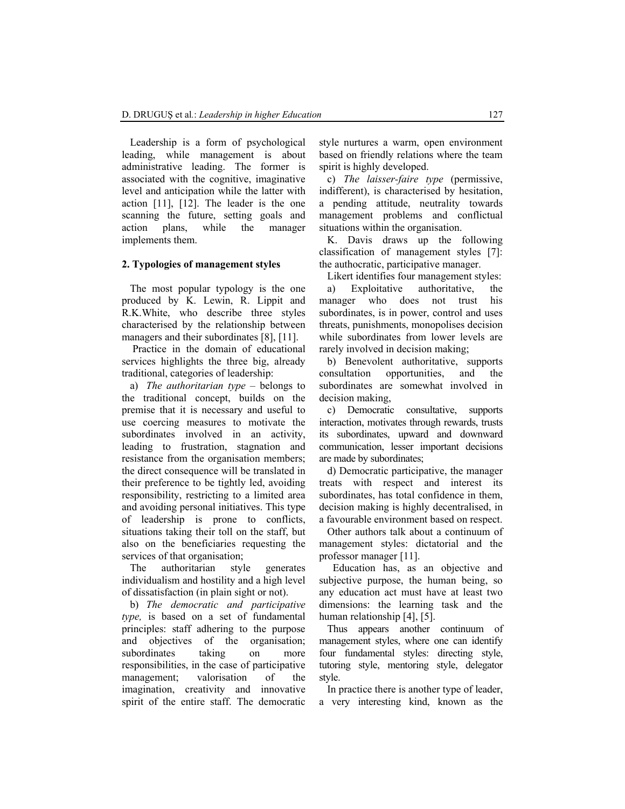Leadership is a form of psychological leading, while management is about administrative leading. The former is associated with the cognitive, imaginative level and anticipation while the latter with action [11], [12]. The leader is the one scanning the future, setting goals and action plans, while the manager implements them.

#### **2. Typologies of management styles**

The most popular typology is the one produced by K. Lewin, R. Lippit and R.K.White, who describe three styles characterised by the relationship between managers and their subordinates [8], [11].

 Practice in the domain of educational services highlights the three big, already traditional, categories of leadership:

a) *The authoritarian type* – belongs to the traditional concept, builds on the premise that it is necessary and useful to use coercing measures to motivate the subordinates involved in an activity, leading to frustration, stagnation and resistance from the organisation members; the direct consequence will be translated in their preference to be tightly led, avoiding responsibility, restricting to a limited area and avoiding personal initiatives. This type of leadership is prone to conflicts, situations taking their toll on the staff, but also on the beneficiaries requesting the services of that organisation;

The authoritarian style generates individualism and hostility and a high level of dissatisfaction (in plain sight or not).

b) *The democratic and participative type,* is based on a set of fundamental principles: staff adhering to the purpose and objectives of the organisation; subordinates taking on more responsibilities, in the case of participative management; valorisation of the imagination, creativity and innovative spirit of the entire staff. The democratic style nurtures a warm, open environment based on friendly relations where the team spirit is highly developed.

c) *The laisser-faire type* (permissive, indifferent), is characterised by hesitation, a pending attitude, neutrality towards management problems and conflictual situations within the organisation.

K. Davis draws up the following classification of management styles [7]: the authocratic, participative manager.

Likert identifies four management styles:

a) Exploitative authoritative, the manager who does not trust his subordinates, is in power, control and uses threats, punishments, monopolises decision while subordinates from lower levels are rarely involved in decision making;

b) Benevolent authoritative, supports consultation opportunities, and the subordinates are somewhat involved in decision making,

c) Democratic consultative, supports interaction, motivates through rewards, trusts its subordinates, upward and downward communication, lesser important decisions are made by subordinates;

d) Democratic participative, the manager treats with respect and interest its subordinates, has total confidence in them, decision making is highly decentralised, in a favourable environment based on respect.

Other authors talk about a continuum of management styles: dictatorial and the professor manager [11].

Education has, as an objective and subjective purpose, the human being, so any education act must have at least two dimensions: the learning task and the human relationship [4], [5].

Thus appears another continuum of management styles, where one can identify four fundamental styles: directing style, tutoring style, mentoring style, delegator style.

In practice there is another type of leader, a very interesting kind, known as the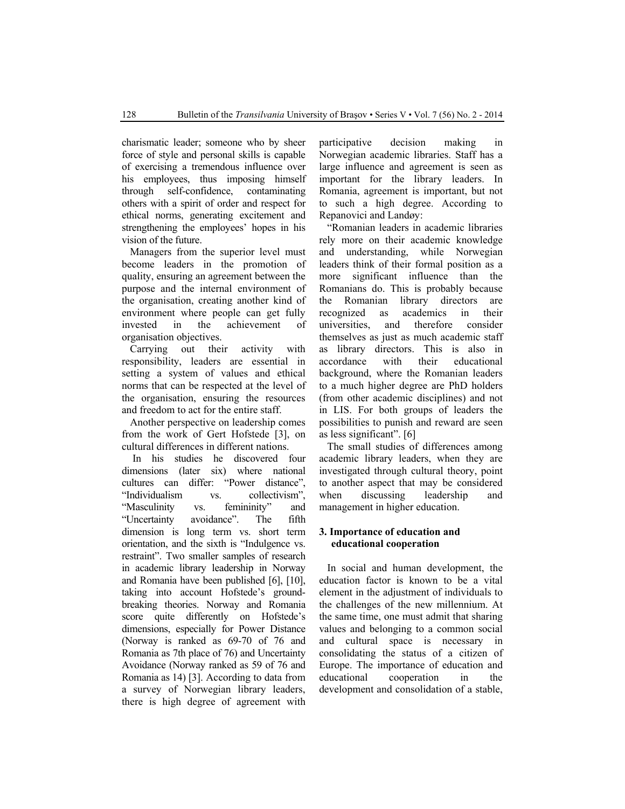charismatic leader; someone who by sheer force of style and personal skills is capable of exercising a tremendous influence over his employees, thus imposing himself through self-confidence, contaminating others with a spirit of order and respect for ethical norms, generating excitement and strengthening the employees' hopes in his vision of the future.

Managers from the superior level must become leaders in the promotion of quality, ensuring an agreement between the purpose and the internal environment of the organisation, creating another kind of environment where people can get fully invested in the achievement of organisation objectives.

Carrying out their activity with responsibility, leaders are essential in setting a system of values and ethical norms that can be respected at the level of the organisation, ensuring the resources and freedom to act for the entire staff.

Another perspective on leadership comes from the work of Gert Hofstede [3], on cultural differences in different nations.

 In his studies he discovered four dimensions (later six) where national cultures can differ: "Power distance", "Individualism vs. collectivism", "Masculinity vs. femininity" and "Uncertainty avoidance". The fifth dimension is long term vs. short term orientation, and the sixth is "Indulgence vs. restraint". Two smaller samples of research in academic library leadership in Norway and Romania have been published [6], [10], taking into account Hofstede's groundbreaking theories. Norway and Romania score quite differently on Hofstede's dimensions, especially for Power Distance (Norway is ranked as 69-70 of 76 and Romania as 7th place of 76) and Uncertainty Avoidance (Norway ranked as 59 of 76 and Romania as 14) [3]. According to data from a survey of Norwegian library leaders, there is high degree of agreement with participative decision making in Norwegian academic libraries. Staff has a large influence and agreement is seen as important for the library leaders. In Romania, agreement is important, but not to such a high degree. According to Repanovici and Landøy:

"Romanian leaders in academic libraries rely more on their academic knowledge and understanding, while Norwegian leaders think of their formal position as a more significant influence than the Romanians do. This is probably because the Romanian library directors are recognized as academics in their universities, and therefore consider themselves as just as much academic staff as library directors. This is also in accordance with their educational background, where the Romanian leaders to a much higher degree are PhD holders (from other academic disciplines) and not in LIS. For both groups of leaders the possibilities to punish and reward are seen as less significant". [6]

The small studies of differences among academic library leaders, when they are investigated through cultural theory, point to another aspect that may be considered when discussing leadership and management in higher education.

## **3. Importance of education and educational cooperation**

In social and human development, the education factor is known to be a vital element in the adjustment of individuals to the challenges of the new millennium. At the same time, one must admit that sharing values and belonging to a common social and cultural space is necessary in consolidating the status of a citizen of Europe. The importance of education and educational cooperation in the development and consolidation of a stable,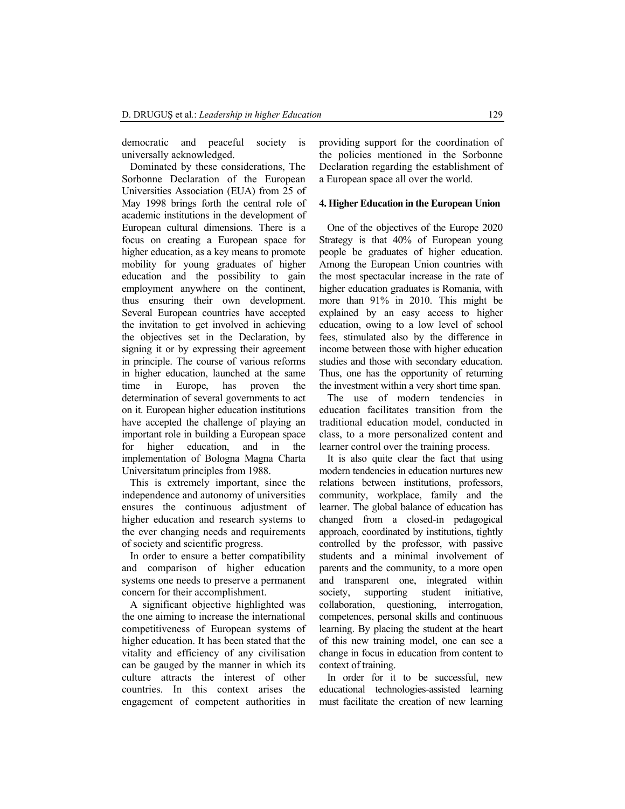democratic and peaceful society is universally acknowledged.

Dominated by these considerations, The Sorbonne Declaration of the European Universities Association (EUA) from 25 of May 1998 brings forth the central role of academic institutions in the development of European cultural dimensions. There is a focus on creating a European space for higher education, as a key means to promote mobility for young graduates of higher education and the possibility to gain employment anywhere on the continent, thus ensuring their own development. Several European countries have accepted the invitation to get involved in achieving the objectives set in the Declaration, by signing it or by expressing their agreement in principle. The course of various reforms in higher education, launched at the same time in Europe, has proven the determination of several governments to act on it. European higher education institutions have accepted the challenge of playing an important role in building a European space for higher education, and in the implementation of Bologna Magna Charta Universitatum principles from 1988.

This is extremely important, since the independence and autonomy of universities ensures the continuous adjustment of higher education and research systems to the ever changing needs and requirements of society and scientific progress.

In order to ensure a better compatibility and comparison of higher education systems one needs to preserve a permanent concern for their accomplishment.

A significant objective highlighted was the one aiming to increase the international competitiveness of European systems of higher education. It has been stated that the vitality and efficiency of any civilisation can be gauged by the manner in which its culture attracts the interest of other countries. In this context arises the engagement of competent authorities in providing support for the coordination of the policies mentioned in the Sorbonne Declaration regarding the establishment of a European space all over the world.

### **4. Higher Education in the European Union**

One of the objectives of the Europe 2020 Strategy is that 40% of European young people be graduates of higher education. Among the European Union countries with the most spectacular increase in the rate of higher education graduates is Romania, with more than 91% in 2010. This might be explained by an easy access to higher education, owing to a low level of school fees, stimulated also by the difference in income between those with higher education studies and those with secondary education. Thus, one has the opportunity of returning the investment within a very short time span.

The use of modern tendencies in education facilitates transition from the traditional education model, conducted in class, to a more personalized content and learner control over the training process.

It is also quite clear the fact that using modern tendencies in education nurtures new relations between institutions, professors, community, workplace, family and the learner. The global balance of education has changed from a closed-in pedagogical approach, coordinated by institutions, tightly controlled by the professor, with passive students and a minimal involvement of parents and the community, to a more open and transparent one, integrated within society, supporting student initiative, collaboration, questioning, interrogation, competences, personal skills and continuous learning. By placing the student at the heart of this new training model, one can see a change in focus in education from content to context of training.

In order for it to be successful, new educational technologies-assisted learning must facilitate the creation of new learning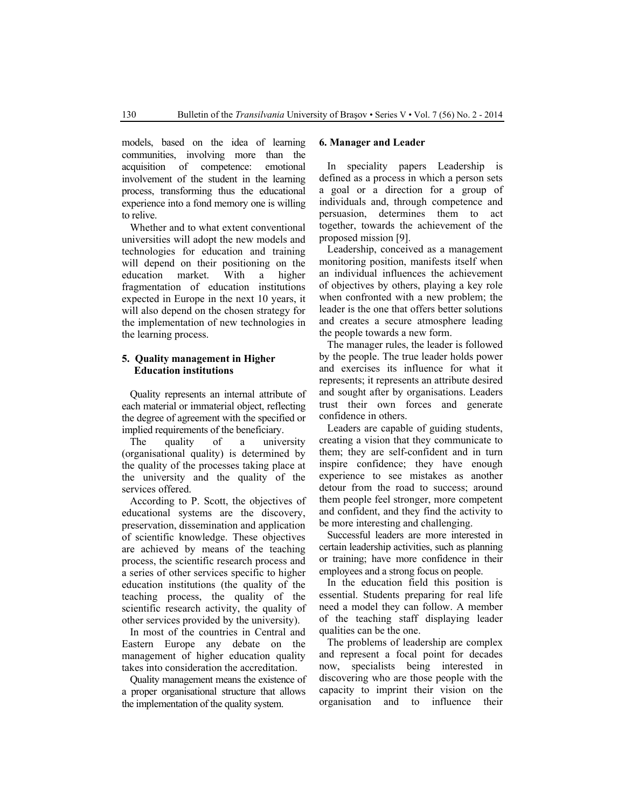models, based on the idea of learning communities, involving more than the acquisition of competence: emotional involvement of the student in the learning process, transforming thus the educational experience into a fond memory one is willing to relive.

Whether and to what extent conventional universities will adopt the new models and technologies for education and training will depend on their positioning on the education market. With a higher fragmentation of education institutions expected in Europe in the next 10 years, it will also depend on the chosen strategy for the implementation of new technologies in the learning process.

## **5. Quality management in Higher Education institutions**

Quality represents an internal attribute of each material or immaterial object, reflecting the degree of agreement with the specified or implied requirements of the beneficiary.

The quality of a university (organisational quality) is determined by the quality of the processes taking place at the university and the quality of the services offered.

According to P. Scott, the objectives of educational systems are the discovery, preservation, dissemination and application of scientific knowledge. These objectives are achieved by means of the teaching process, the scientific research process and a series of other services specific to higher education institutions (the quality of the teaching process, the quality of the scientific research activity, the quality of other services provided by the university).

In most of the countries in Central and Eastern Europe any debate on the management of higher education quality takes into consideration the accreditation.

Quality management means the existence of a proper organisational structure that allows the implementation of the quality system.

#### **6. Manager and Leader**

In speciality papers Leadership is defined as a process in which a person sets a goal or a direction for a group of individuals and, through competence and persuasion, determines them to act together, towards the achievement of the proposed mission [9].

Leadership, conceived as a management monitoring position, manifests itself when an individual influences the achievement of objectives by others, playing a key role when confronted with a new problem; the leader is the one that offers better solutions and creates a secure atmosphere leading the people towards a new form.

The manager rules, the leader is followed by the people. The true leader holds power and exercises its influence for what it represents; it represents an attribute desired and sought after by organisations. Leaders trust their own forces and generate confidence in others.

Leaders are capable of guiding students, creating a vision that they communicate to them; they are self-confident and in turn inspire confidence; they have enough experience to see mistakes as another detour from the road to success; around them people feel stronger, more competent and confident, and they find the activity to be more interesting and challenging.

Successful leaders are more interested in certain leadership activities, such as planning or training; have more confidence in their employees and a strong focus on people.

In the education field this position is essential. Students preparing for real life need a model they can follow. A member of the teaching staff displaying leader qualities can be the one.

The problems of leadership are complex and represent a focal point for decades now, specialists being interested in discovering who are those people with the capacity to imprint their vision on the organisation and to influence their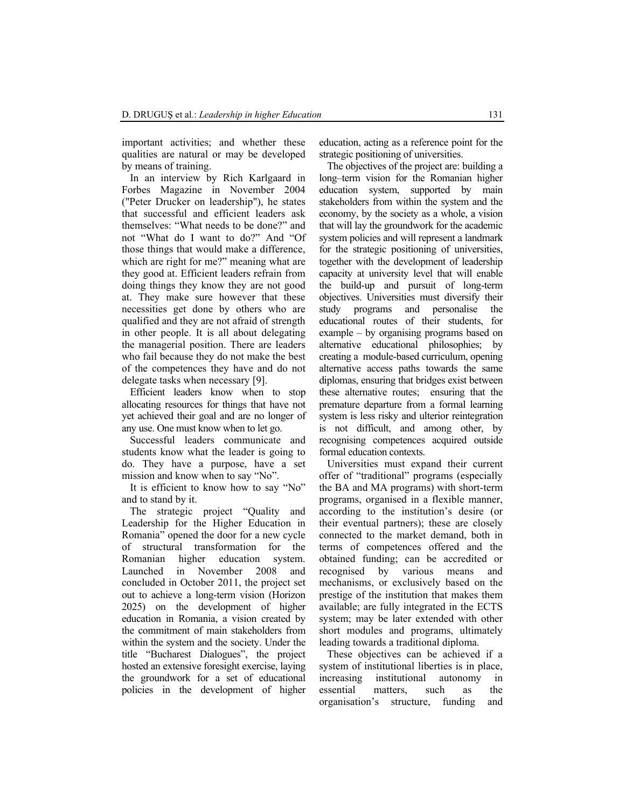important activities; and whether these qualities are natural or may be developed by means of training.

In an interview by Rich Karlgaard in Forbes Magazine in November 2004 ("Peter Drucker on leadership"), he states that successful and efficient leaders ask themselves: "What needs to be done?" and not "What do I want to do?" And "Of those things that would make a difference, which are right for me?" meaning what are they good at. Efficient leaders refrain from doing things they know they are not good at. They make sure however that these necessities get done by others who are qualified and they are not afraid of strength in other people. It is all about delegating the managerial position. There are leaders who fail because they do not make the best of the competences they have and do not delegate tasks when necessary [9].

Efficient leaders know when to stop allocating resources for things that have not yet achieved their goal and are no longer of any use. One must know when to let go.

Successful leaders communicate and students know what the leader is going to do. They have a purpose, have a set mission and know when to say "No".

It is efficient to know how to say "No" and to stand by it.

The strategic project "Quality and Leadership for the Higher Education in Romania" opened the door for a new cycle of structural transformation for the Romanian higher education system. Launched in November 2008 and concluded in October 2011, the project set out to achieve a long-term vision (Horizon 2025) on the development of higher education in Romania, a vision created by the commitment of main stakeholders from within the system and the society. Under the title "Bucharest Dialogues", the project hosted an extensive foresight exercise, laying the groundwork for a set of educational policies in the development of higher education, acting as a reference point for the strategic positioning of universities.

The objectives of the project are: building a long–term vision for the Romanian higher education system, supported by main stakeholders from within the system and the economy, by the society as a whole, a vision that will lay the groundwork for the academic system policies and will represent a landmark for the strategic positioning of universities, together with the development of leadership capacity at university level that will enable the build-up and pursuit of long-term objectives. Universities must diversify their study programs and personalise the educational routes of their students, for example – by organising programs based on alternative educational philosophies; by creating a module-based curriculum, opening alternative access paths towards the same diplomas, ensuring that bridges exist between these alternative routes; ensuring that the premature departure from a formal learning system is less risky and ulterior reintegration is not difficult, and among other, by recognising competences acquired outside formal education contexts.

Universities must expand their current offer of "traditional" programs (especially the BA and MA programs) with short-term programs, organised in a flexible manner, according to the institution's desire (or their eventual partners); these are closely connected to the market demand, both in terms of competences offered and the obtained funding; can be accredited or recognised by various means and mechanisms, or exclusively based on the prestige of the institution that makes them available; are fully integrated in the ECTS system; may be later extended with other short modules and programs, ultimately leading towards a traditional diploma.

These objectives can be achieved if a system of institutional liberties is in place, increasing institutional autonomy in essential matters, such as the organisation's structure, funding and